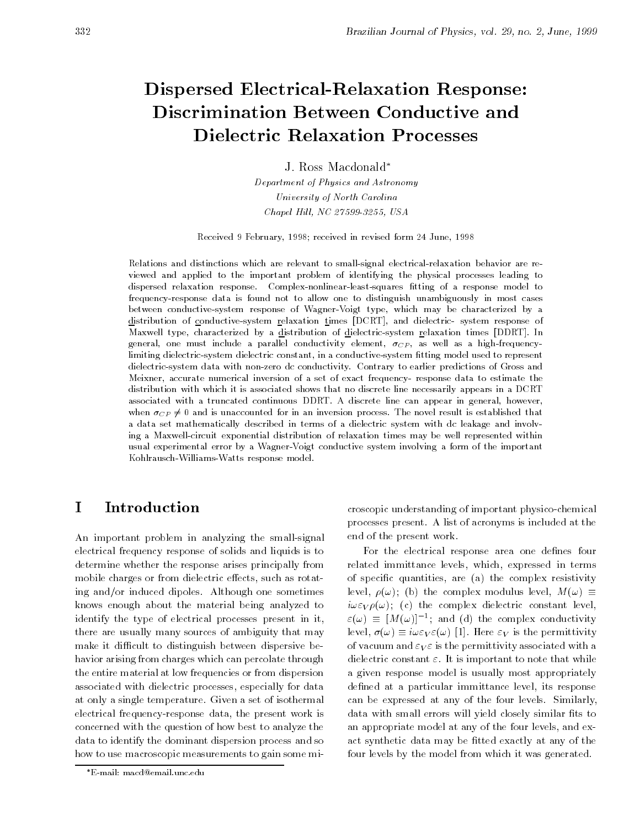## Dispersed Electrical-Relaxation Response: Discrimination Between Conductive and Dielectric Relaxation Processes

J. Ross Macdonald

Department of Physics and Astronomy University of North Carolina  $Chapel Hill, NC 27599-3255, USA$ 

Received 9 February, 1998; received in revised form 24 June, 1998

Relations and distinctions which are relevant to small-signal electrical-relaxation behavior are reviewed and applied to the important problem of identifying the physical processes leading to dispersed relaxation response. Complex-nonlinear-least-squares fitting of a response model to frequency-response data is found not to allow one to distinguish unambiguously in most cases between conductive-system response of Wagner-Voigt type, which may be characterized by a distribution of conductive-system relaxation times [DCRT], and dielectric- system response of Maxwell type, characterized by a distribution of dielectric-system relaxation times [DDRT]. In general, one must include a parallel conductivity element,  $\sigma_{CP}$ , as well as a high-frequencylimiting dielectric-system dielectric constant, in a conductive-system fitting model used to represent dielectric-system data with non-zero dc conductivity. Contrary to earlier predictions of Gross and Meixner, accurate numerical inversion of a set of exact frequency- response data to estimate the distribution with which it is associated shows that no discrete line necessarily appears in a DCRT associated with a truncated continuous DDRT. A discrete line can appear in general, however, when  $\sigma_{CP} \neq 0$  and is unaccounted for in an inversion process. The novel result is established that a data set mathematically described in terms of a dielectric system with dc leakage and involving a Maxwell-circuit exponential distribution of relaxation times may be well represented within usual experimental error byaWagner-Voigt conductive system involving a form of the important Kohlrausch-Williams-Watts response model.

#### $\mathbf{T}$  Introduction  $\overline{\phantom{0}}$

An important problem in analyzing the small-signal electrical frequency response of solids and liquids is to determine whether the response arises principally from mobile charges or from dielectric effects, such as rotating and/or induced dipoles. Although one sometimes knows enough about the material being analyzed to identify the type of electrical processes present in it, there are usually many sources of ambiguity that may make it difficult to distinguish between dispersive behavior arising from charges which can percolate through the entire material at low frequencies or from dispersion associated with dielectric processes, especially for data at only a single temperature. Given a set of isothermal electrical frequency-response data, the present work is concerned with the question of how best to analyze the data to identify the dominant dispersion process and so how to use macroscopic measurements to gain some microscopic understanding of important physico-chemical processes present. A list of acronyms is included at the end of the present work.

For the electrical response area one defines four related immittance levels, which, expressed in terms of specic quantities, are (a) the complex resistivity level,  $\rho(\omega)$ ; (b) the complex modulus level,  $M(\omega) \equiv$  $i\omega \varepsilon_V \rho(\omega)$ ; (c) the complex dielectric constant level,  $\varepsilon(\omega) \equiv |M(\omega)|^{-1}$ ; and (d) the complex conductivity level,  $\sigma(\omega) \equiv i\omega \varepsilon_V \varepsilon(\omega)$  [1]. Here  $\varepsilon_V$  is the permittivity of vacuum and  $\varepsilon_V \varepsilon$  is the permittivity associated with a dielectric constant  $\varepsilon$ . It is important to note that while a given response model is usually most appropriately defined at a particular immittance level, its response can be expressed at any of the four levels. Similarly, data with small errors will yield closely similar fits to an appropriate model at any of the four levels, and exact synthetic data may be fitted exactly at any of the four levels by the model from which it was generated.

E-mail: macd@email.unc.edu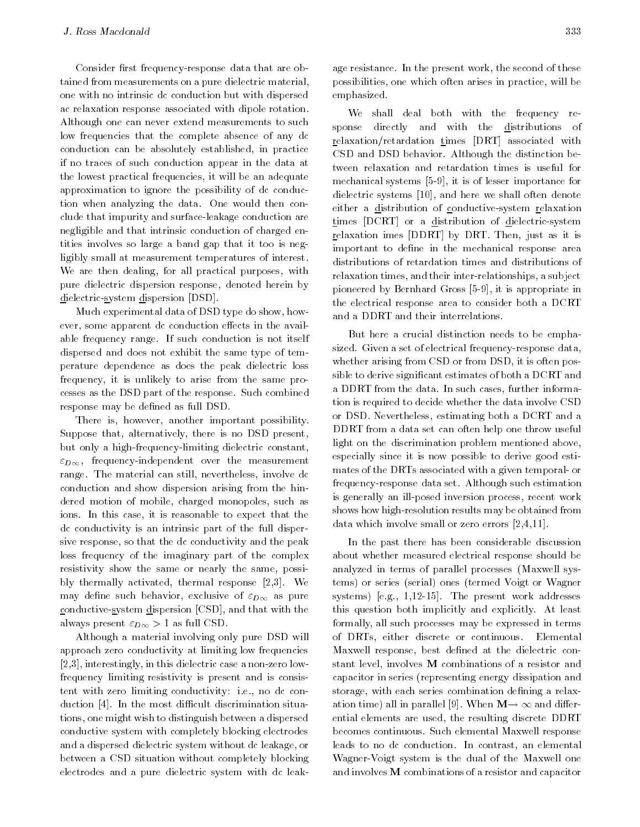Consider first frequency-response data that are obtained from measurements on a pure dielectric material, one with no intrinsic dc conduction but with dispersed ac relaxation response associated with dipole rotation. Although one can never extend measurements to such low frequencies that the complete absence of any dc conduction can be absolutely established, in practice if no traces of such conduction appear in the data at the lowest practical frequencies, it will be an adequate approximation to ignore the possibility of dc conduction when analyzing the data. One would then conclude that impurity and surface-leakage conduction are negligible and that intrinsic conduction of charged entities involves so large a band gap that it too is negligibly small at measurement temperatures of interest. We are then dealing, for all practical purposes, with pure dielectric dispersion response, denoted herein by dielectric-system dispersion [DSD].

Much experimental data of DSD type do show, however, some apparent dc conduction effects in the available frequency range. If such conduction is not itself dispersed and does not exhibit the same type of temperature dependence as does the peak dielectric loss frequency, it is unlikely to arise from the same processes as the DSD part of the response. Such combined response may be defined as full DSD.

There is, however, another important possibility. Suppose that, alternatively, there is no DSD present, but only a high-frequency-limiting dielectric constant,  $\varepsilon_{D\infty}$ , frequency-independent over the measurement range. The material can still, nevertheless, involve dc conduction and show dispersion arising from the hindered motion of mobile, charged monopoles, such as ions. In this case, it is reasonable to expect that the dc conductivity is an intrinsic part of the full dispersive response, so that the dc conductivity and the peak loss frequency of the imaginary part of the complex resistivity show the same or nearly the same, possibly thermally activated, thermal response [2,3]. We may define such behavior, exclusive of  $\varepsilon_{D\infty}$  as pure conductive-system dispersion [CSD], and that with the always present  $\varepsilon_{D\infty} > 1$  as full CSD.

Although a material involving only pure DSD will approach zero conductivity at limiting low frequencies [2,3], interestingly, in this dielectric case a non-zero lowfrequency limiting resistivity is present and is consistent with zero limiting conductivity: i.e., no dc conduction [4]. In the most difficult discrimination situations, one might wish to distinguish between a dispersed conductive system with completely blocking electrodes and a dispersed dielectric system without dc leakage, or between a CSD situation without completely blocking electrodes and a pure dielectric system with dc leakage resistance. In the present work, the second of these possibilities, one which often arises in practice, will be emphasized.

We shall deal both with the frequency response directly and with the distributions of relaxation/retardation times [DRT] associated with CSD and DSD behavior. Although the distinction between relaxation and retardation times is useful for mechanical systems [5-9], it is of lesser importance for dielectric systems [10], and here we shall often denote either a distribution of conductive-system relaxation times [DCRT] or a distribution of dielectric-system relaxation imes [DDRT] by DRT. Then, just as it is important to define in the mechanical response area distributions of retardation times and distributions of relaxation times, and their inter-relationships, a subject pioneered by Bernhard Gross [5-9], it is appropriate in the electrical response area to consider both a DCRT and a DDRT and their interrelations.

But here a crucial distinction needs to be emphasized. Given a set of electrical frequency-response data, whether arising from CSD or from DSD, it is often possible to derive signicant estimates of both a DCRT and a DDRT from the data. In such cases, further information is required to decide whether the data involve CSD or DSD. Nevertheless, estimating both a DCRT and a DDRT from a data set can often help one throw useful light on the discrimination problem mentioned above, especially since it is now possible to derive good estimates of the DRTs associated with a given temporal- or frequency-response data set. Although such estimation is generally an ill-posed inversion process, recent work shows how high-resolution results may be obtained from data which involve small or zero errors [2,4,11].

In the past there has been considerable discussion about whether measured electrical response should be analyzed in terms of parallel processes (Maxwell systems) or series (serial) ones (termed Voigt or Wagner systems) [e.g., 1,12-15]. The present work addresses this question both implicitly and explicitly. At least formally, all such processes may be expressed in terms of DRTs, either discrete or continuous. Elemental Maxwell response, best defined at the dielectric constant level, involves M combinations of a resistor and capacitor in series (representing energy dissipation and storage, with each series combination defining a relaxation time) all in parallel [9]. When  $M \rightarrow \infty$  and differential elements are used, the resulting discrete DDRT becomes continuous. Such elemental Maxwell response leads to no dc conduction. In contrast, an elemental Wagner-Voigt system is the dual of the Maxwell one and involves M combinations of a resistor and capacitor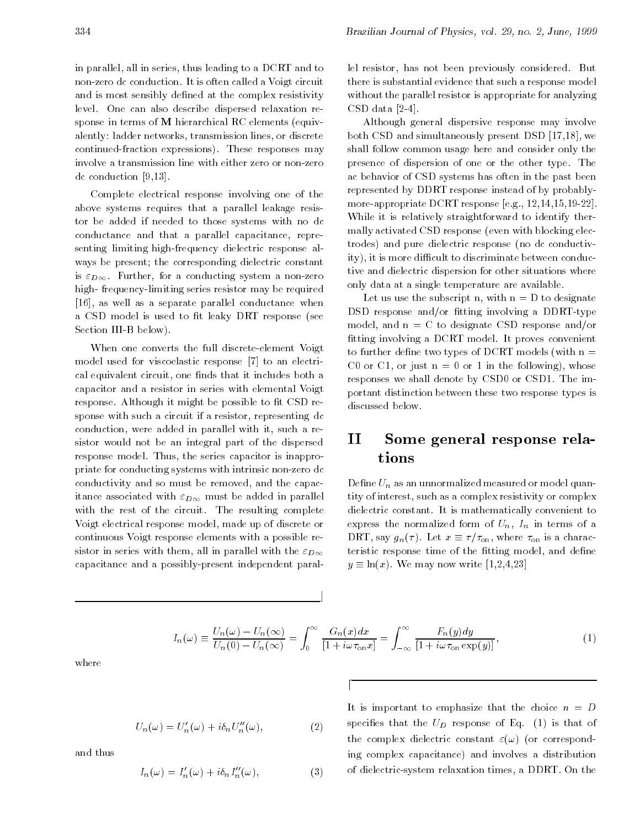in parallel, all in series, thus leading to a DCRT and to non-zero dc conduction. It is often called a Voigt circuit and is most sensibly defined at the complex resistivity level. One can also describe dispersed relaxation response in terms of M hierarchical RC elements (equivalently: ladder networks, transmission lines, or discrete continued-fraction expressions). These responses may involve a transmission line with either zero or non-zero dc conduction [9,13].

Complete electrical response involving one of the above systems requires that a parallel leakage resistor be added if needed to those systems with no dc conductance and that a parallel capacitance, representing limiting high-frequency dielectric response al ways be present; the corresponding dielectric constant is  $\varepsilon_{D\infty}$ . Further, for a conducting system a non-zero high- frequency-limiting series resistor may be required [16], as well as a separate parallel conductance when a CSD model is used to fit leaky DRT response (see Section III-B below).

When one converts the full discrete-element Voigt model used for viscoelastic response [7] to an electrical equivalent circuit, one finds that it includes both a capacitor and a resistor in series with elemental Voigt response. Although it might be possible to fit CSD response with such a circuit if a resistor, representing dc conduction, were added in parallel with it, such a resistor would not be an integral part of the dispersed response model. Thus, the series capacitor is inappropriate for conducting systems with intrinsic non-zero dc conductivity and so must be removed, and the capacitance associated with  $\varepsilon_{D\infty}$  must be added in parallel with the rest of the circuit. The resulting complete Voigt electrical response model, made up of discrete or continuous Voigt response elements with a possible resistor in series with them, all in parallel with the  $\varepsilon_{D\infty}$ capacitance and a possibly-present independent parallel resistor, has not been previously considered. But there is substantial evidence that such a response model without the parallel resistor is appropriate for analyzing CSD data [2-4].

Although general dispersive response may involve both CSD and simultaneously present DSD [17,18], we shall follow common usage here and consider only the presence of dispersion of one or the other type. The ac behavior of CSD systems has often in the past been represented by DDRT response instead of by probablymore-appropriate DCRT response [e.g., 12,14,15,19-22]. While it is relatively straightforward to identify thermally activated CSD response (even with blocking electrodes) and pure dielectric response (no dc conductivity), it is more difficult to discriminate between conductive and dielectric dispersion for other situations where only data at a single temperature are available.

Let us use the subscript n, with  $n = D$  to designate DSD response and/or fitting involving a DDRT-type model, and  $n = C$  to designate CSD response and/or fitting involving a DCRT model. It proves convenient to further define two types of DCRT models (with  $n =$ C0 or C1, or just  $n = 0$  or 1 in the following), whose responses we shall denote by CSD0 or CSD1. The important distinction between these two response types is discussed below.

#### II Some general response relations

Define  $U_n$  as an unnormalized measured or model quantity of interest, such as a complex resistivity or complex dielectric constant. It is mathematically convenient to express the normalized form of  $U_n$ ,  $I_n$  in terms of a DRT, say  $g_n(\tau)$ . Let  $x \equiv \tau/\tau_{\text{on}}$ , where  $\tau_{\text{on}}$  is a characteristic response time of the fitting model, and define  $y \equiv \ln(x)$ . We may now write [1,2,4,23]

$$
I_n(\omega) \equiv \frac{U_n(\omega) - U_n(\infty)}{U_n(0) - U_n(\infty)} = \int_0^\infty \frac{G_n(x)dx}{[1 + i\omega \tau_{\text{on}} x]} = \int_{-\infty}^\infty \frac{F_n(y)dy}{[1 + i\omega \tau_{\text{on}} \exp(y)]},\tag{1}
$$

d

 $\mathbf{I}$ 

where

$$
U_n(\omega) = U'_n(\omega) + i\delta_n U''_n(\omega), \qquad (2)
$$

and thus

$$
I_n(\omega) = I'_n(\omega) + i\delta_n I''_n(\omega), \qquad (3)
$$

It is important to emphasize that the choice  $n = D$ specifies that the  $U_D$  response of Eq. (1) is that of the complex dielectric constant  $\varepsilon(\omega)$  (or corresponding complex capacitance) and involves a distribution of dielectric-system relaxation times, a DDRT. On the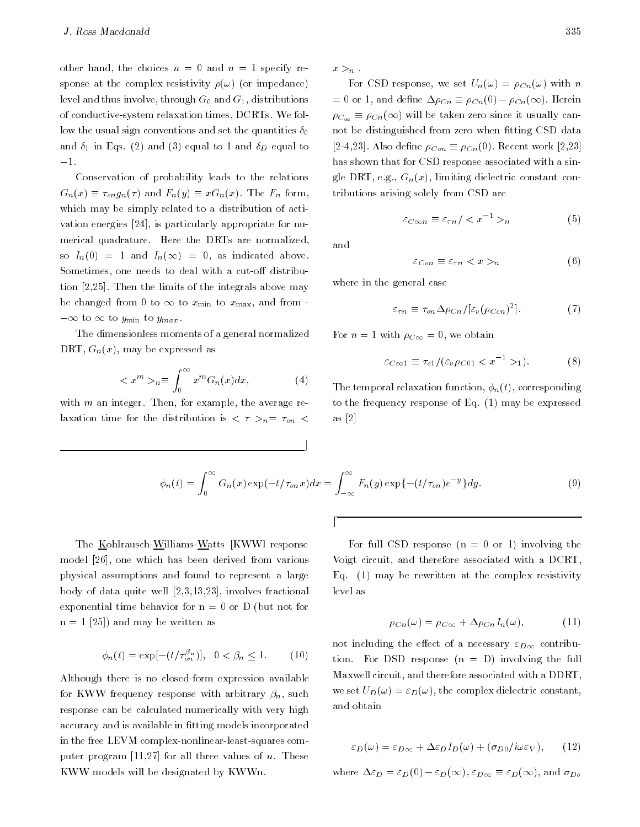other hand, the choices  $n = 0$  and  $n = 1$  specify response at the complex resistivity  $\rho(\omega)$  (or impedance) level and thus involve, through  $G_0$  and  $G_1$ , distributions of conductive-system relaxation times, DCRTs. We follow the usual sign conventions and set the quantities  $\delta_0$ and  $\delta_1$  in Eqs. (2) and (3) equal to 1 and  $\delta_D$  equal to  $-1.$ 

Conservation of probability leads to the relations  $G_n(x) \equiv \tau_{\text{on}} g_n(\tau)$  and  $F_n(y) \equiv x G_n(x)$ . The  $F_n$  form, which may be simply related to a distribution of activation energies [24], is particularly appropriate for nu merical quadrature. Here the DRTs are normalized, so  $I_n(0) = 1$  and  $I_n(\infty) = 0$ , as indicated above. Sometimes, one needs to deal with a cut-off distribution [2,25]. Then the limits of the integrals above may be changed from 0 to  $\infty$  to  $x_{\min}$  to  $x_{\max}$ , and from - $-\infty$  to  $\infty$  to  $y_{\min}$  to  $y_{\max}$ .

The dimensionless moments of a general normalized DRT,  $G_n(x)$ , may be expressed as

$$
\langle x^m \rangle_n \equiv \int_0^\infty x^m G_n(x) dx, \tag{4}
$$

with  $m$  an integer. Then, for example, the average relaxation time for the distribution is  $\langle \tau \rangle_{n} = \tau_{on} \langle \tau \rangle$   $x >_n$ .

For CSD response, we set  $U_n(\omega) = \rho_{C_n}(\omega)$  with n  $= 0$  or 1, and define  $\Delta \rho_{Cn} \equiv \rho_{Cn}(0) - \rho_{Cn}(\infty)$ . Herein  $\rho_{C_{\infty}} \equiv \rho_{C_n}(\infty)$  will be taken zero since it usually cannot be distinguished from zero when fitting CSD data [2-4,23]. Also define  $\rho_{Con} \equiv \rho_{Cn}(0)$ . Recent work [2,23] has shown that for CSD response associated with a single DRT, e.g.,  $G_n(x)$ , limiting dielectric constant contributions arising solely from CSD are

$$
\varepsilon_{C\infty n} \equiv \varepsilon_{\tau n} / \langle x^{-1} \rangle_n \tag{5}
$$

and

$$
\varepsilon_{Con} \equiv \varepsilon_{\tau n} < x >_{n} \tag{6}
$$

where in the general case

$$
\varepsilon_{\tau n} \equiv \tau_{on} \Delta \rho_{Cn} / [\varepsilon_v (\rho_{Con})^2]. \tag{7}
$$

For  $n = 1$  with  $\rho_{C\infty} = 0$ , we obtain

$$
\varepsilon_{C\infty 1} \equiv \tau_{o1}/(\varepsilon_v \rho_{C01} < x^{-1} >_1). \tag{8}
$$

The temporal relaxation function,  $\phi_n(t)$ , corresponding to the frequency response of Eq. (1) may be expressed as [2]

$$
\phi_n(t) = \int_0^\infty G_n(x) \exp(-t/\tau_{on} x) dx = \int_{-\infty}^\infty F_n(y) \exp\left\{-\left(t/\tau_{on}\right)e^{-y}\right\} dy.
$$
\n(9)

d

l a

The Kohlrausch-Williams-Watts [KWWl response model [26], one which has been derived from various physical assumptions and found to represent a large body of data quite well [2,3,13,23], involves fractional exponential time behavior for  $n = 0$  or D (but not for  $n = 1$  [25]) and may be written as

$$
\phi_n(t) = \exp[-(t/\tau_{on}^{\beta_n})], \ \ 0 < \beta_n \le 1. \tag{10}
$$

Although there is no closed-form expression available for KWW frequency response with arbitrary  $\beta_n$ , such response can be calculated numerically with very high accuracy and is available in fitting models incorporated in the free LEVM complex-nonlinear-least-squares computer program [11,27] for all three values of  $n$ . These KWW models will be designated by KWWn.

For full CSD response  $(n = 0 \text{ or } 1)$  involving the Voigt circuit, and therefore associated with a DCRT, Eq. (1) may be rewritten at the complex resistivity level as

$$
\rho_{Cn}(\omega) = \rho_{C\infty} + \Delta \rho_{Cn} I_n(\omega), \qquad (11)
$$

not including the effect of a necessary  $\varepsilon_{D\infty}$  contribution. For DSD response  $(n = D)$  involving the full Maxwell circuit, and therefore associated with a DDRT, we set  $U_D(\omega) = \varepsilon_D(\omega)$ , the complex dielectric constant, and obtain

$$
\varepsilon_D(\omega) = \varepsilon_{D\infty} + \Delta \varepsilon_D I_D(\omega) + (\sigma_{D0}/i\omega \varepsilon_V), \qquad (12)
$$

where  $\Delta \varepsilon_D = \varepsilon_D(0) - \varepsilon_D(\infty)$ ,  $\varepsilon_{D\infty} \equiv \varepsilon_D(\infty)$ , and  $\sigma_{D\circ}$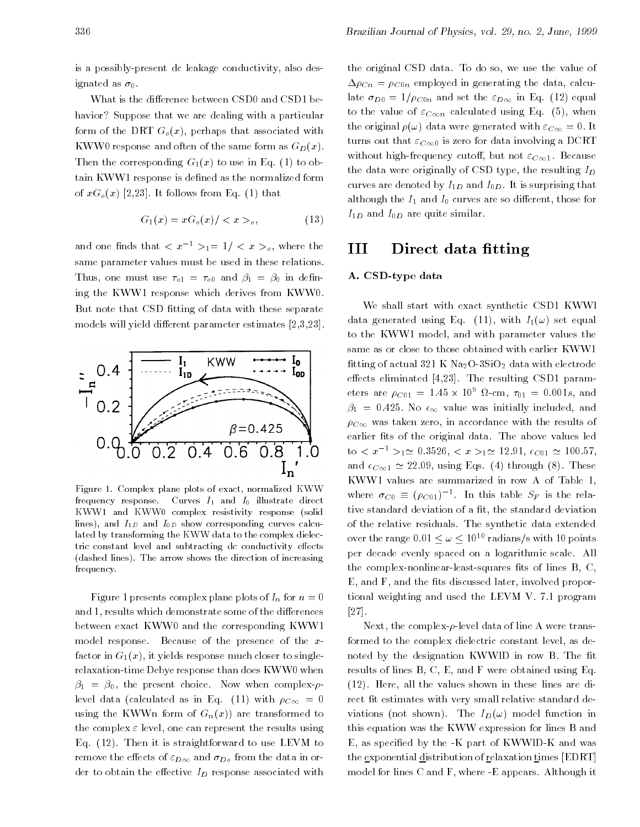is a possibly-present dc leakage conductivity, also designated as  $\sigma_0$ .

What is the difference between CSD0 and CSD1 behavior? Suppose that we are dealing with a particular form of the DRT  $G<sub>o</sub>(x)$ , perhaps that associated with KWW0 response and often of the same form as  $G_D(x)$ . Then the corresponding  $G_1(x)$  to use in Eq. (1) to obtain KWW1 response is defined as the normalized form of  $xG_{\varrho}(x)$  [2,23]. It follows from Eq. (1) that

$$
G_1(x) = xG_o(x) / \langle x \rangle_o, \tag{13}
$$

and one finds that  $\langle x^{-1} \rangle_1 = 1/\langle x \rangle_0$ , where the same parameter values must be used in these relations. Thus, one must use  $\tau_{0} = \tau_{0}$  and  $\beta_1 = \beta_0$  in defining the KWW1 response which derives from KWW0. But note that CSD fitting of data with these separate models will yield different parameter estimates  $[2,3,23]$ .



Figure 1. Complex plane plots of exact, normalized KWW frequency response. Curves  $I_1$  and  $I_0$  illustrate direct KWW1 and KWW0 complex resistivity response (solid lines), and  $I_{1D}$  and  $I_{0D}$  show corresponding curves calculated by transforming the KWW data to the complex dielectric constant level and subtracting dc conductivity effects (dashed lines). The arrow shows the direction of increasing frequency.

Figure 1 presents complex plane plots of  $I_n$  for  $n=0$ and 1, results which demonstrate some of the differences between exact KWW0 and the corresponding KWW1 model response. Because of the presence of the xfactor in  $G_1(x)$ , it yields response much closer to singlerelaxation-time Debye response than does KWW0 when  $\beta_1 = \beta_0$ , the present choice. Now when complex- $\rho$ level data (calculated as in Eq. (11) with  $\rho_{C\infty} = 0$ using the KWWn form of  $G_n(x)$  are transformed to the complex  $\varepsilon$  level, one can represent the results using Eq. (12). Then it is straightforward to use LEVM to remove the effects of  $\varepsilon_{D\infty}$  and  $\sigma_{D\sigma}$  from the data in order to obtain the effective  $I_D$  response associated with the original CSD data. To do so, we use the value of  $\Delta \rho_{Cn} = \rho_{C0n}$  employed in generating the data, calculate  $\sigma_{D0} = 1/\rho_{C0n}$  and set the  $\varepsilon_{D\infty}$  in Eq. (12) equal to the value of  $\varepsilon_{C\infty n}$  calculated using Eq. (5), when the original  $\rho(\omega)$  data were generated with  $\varepsilon_{C\infty} = 0$ . It turns out that  $\varepsilon_{C\infty}$  is zero for data involving a DCRT without high-frequency cutoff, but not  $\varepsilon_{C\infty 1}$ . Because the data were originally of CSD type, the resulting  $I_D$ curves are denoted by  $I_{1D}$  and  $I_{0D}$ . It is surprising that although the  $I_1$  and  $I_0$  curves are so different, those for  $I_{1D}$  and  $I_{0D}$  are quite similar.

#### IIIDirect data fitting

#### A. CSD-type data

We shall start with exact synthetic CSD1 KWWl data generated using Eq. (11), with  $I_1(\omega)$  set equal to the KWW1 model, and with parameter values the same as or close to those obtained with earlier KWW1 fitting of actual 321 K  $Na<sub>2</sub>O-3SiO<sub>2</sub>$  data with electrode effects eliminated  $[4,23]$ . The resulting CSD1 parameters are  $\rho_{C01} = 1.45 \times 10^{\circ}$  M-cm,  $\tau_{01} = 0.001s$ , and  $\beta_1 = 0.425$ . No  $\epsilon_{\infty}$  value was initially included, and  $\rho_{C\infty}$  was taken zero, in accordance with the results of earlier fits of the original data. The above values led to  $\langle x^{-1} \rangle_{1} \approx 0.3526, \langle x \rangle_{1} \approx 12.91, \epsilon_{C01} \approx 100.57$ , and  $\epsilon_{C\infty 1} \simeq 22.09$ , using Eqs. (4) through (8). These KWW1 values are summarized in row A of Table 1, where  $\sigma_{C0} \equiv (\rho_{C01})^{-1}$ . In this table  $S_F$  is the relative standard deviation of a fit, the standard deviation of the relative residuals. The synthetic data extended over the range  $0.01 \leq \omega \leq 10^{10}$  radians/s with 10 points per decade evenly spaced on a logarithmic scale. All the complex-nonlinear-least-squares fits of lines  $B, C$ , E, and F, and the fits discussed later, involved proportional weighting and used the LEVM V. 7.1 program [27].

Next, the complex- $\rho$ -level data of line A were transformed to the complex dielectric constant level, as denoted by the designation KWWID in row B. The fit results of lines B, C, E, and F were obtained using Eq. (12). Here, all the values shown in these lines are direct fit estimates with very small relative standard deviations (not shown). The  $I_D(\omega)$  model function in this equation was the KWW expression for lines B and E, as specied by the -K part of KWWlD-K and was the exponential distribution of relaxation times [EDRT] model for lines C and F, where -E appears. Although it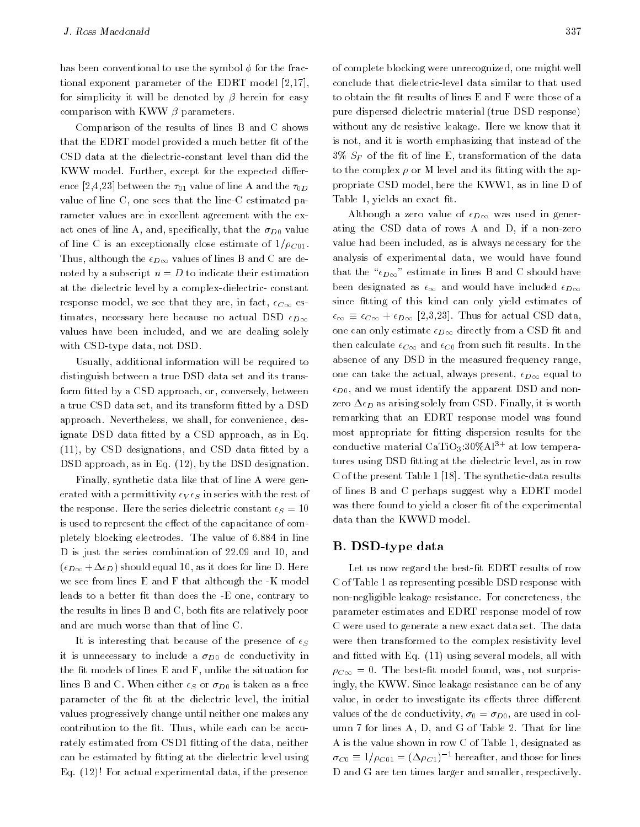has been conventional to use the symbol  $\phi$  for the fractional exponent parameter of the EDRT model [2,17], for simplicity it will be denoted by  $\beta$  herein for easy comparison with KWW  $\beta$  parameters.

Comparison of the results of lines B and C shows that the EDRT model provided a much better fit of the CSD data at the dielectric-constant level than did the KWW model. Further, except for the expected difference [2,4,23] between the  $\tau_{01}$  value of line A and the  $\tau_{0D}$ value of line C, one sees that the line-C estimated parameter values are in excellent agreement with the exact ones of line A, and, specifically, that the  $\sigma_{D0}$  value of line C is an exceptionally close estimate of  $1/\rho_{C01}$ . Thus, although the  $\epsilon_{D\infty}$  values of lines B and C are denoted by a subscript  $n = D$  to indicate their estimation at the dielectric level by a complex-dielectric- constant response model, we see that they are, in fact,  $\epsilon_{C\infty}$  estimates, necessary here because no actual DSD  $\epsilon_{D\infty}$ values have been included, and we are dealing solely with CSD-type data, not DSD.

Usually, additional information will be required to distinguish between a true DSD data set and its transform fitted by a CSD approach, or, conversely, between a true CSD data set, and its transform fitted by a DSD approach. Nevertheless, we shall, for convenience, designate DSD data fitted by a CSD approach, as in Eq.  $(11)$ , by CSD designations, and CSD data fitted by a DSD approach, as in Eq. (12), by the DSD designation.

Finally, synthetic data like that of line A were generated with a permittivity  $\epsilon_V \epsilon_S$  in series with the rest of the response. Here the series dielectric constant  $\epsilon_S = 10$ is used to represent the effect of the capacitance of completely blocking electrodes. The value of 6.884 in line D is just the series combination of 22.09 and 10, and  $(\epsilon_{D\infty}+\Delta\epsilon_D)$  should equal 10, as it does for line D. Here we see from lines E and F that although the -K model leads to a better fit than does the -E one, contrary to the results in lines B and C, both fits are relatively poor and are much worse than that of line C.

It is interesting that because of the presence of  $\epsilon_S$ it is unnecessary to include a  $\sigma_{D0}$  dc conductivity in the fit models of lines  $E$  and  $F$ , unlike the situation for lines B and C. When either  $\epsilon_S$  or  $\sigma_{D0}$  is taken as a free parameter of the fit at the dielectric level, the initial values progressively change until neither one makes any contribution to the fit. Thus, while each can be accurately estimated from CSD1 fitting of the data, neither can be estimated by fitting at the dielectric level using Eq. (12)! For actual experimental data, if the presence

of complete blocking were unrecognized, one might well conclude that dielectric-level data similar to that used to obtain the fit results of lines E and F were those of a pure dispersed dielectric material (true DSD response) without any dc resistive leakage. Here we know that it is not, and it is worth emphasizing that instead of the  $3\%$   $S_F$  of the fit of line E, transformation of the data to the complex  $\rho$  or M level and its fitting with the appropriate CSD model, here the KWW1, as in line D of Table 1, yields an exact fit.

Although a zero value of  $\epsilon_{D\infty}$  was used in generating the CSD data of rows A and D, if a non-zero value had been included, as is always necessary for the analysis of experimental data, we would have found that the " $\epsilon_{D\infty}$ " estimate in lines B and C should have been designated as  $\epsilon_{\infty}$  and would have included  $\epsilon_{D\infty}$ since fitting of this kind can only yield estimates of  $\epsilon_{\infty} \equiv \epsilon_{C\infty} + \epsilon_{D\infty}$  [2,3,23]. Thus for actual CSD data, one can only estimate  $\epsilon_{D\infty}$  directly from a CSD fit and then calculate  $\epsilon_{C\infty}$  and  $\epsilon_{C0}$  from such fit results. In the absence of any DSD in the measured frequency range, one can take the actual, always present,  $\epsilon_{D\infty}$  equal to  $\epsilon_{D0}$ , and we must identify the apparent DSD and nonzero  $\Delta \epsilon_D$  as arising solely from CSD. Finally, it is worth remarking that an EDRT response model was found most appropriate for fitting dispersion results for the conductive material CaTiO<sub>3</sub>:30%Al<sup>3+</sup> at low temperatures using DSD fitting at the dielectric level, as in row C of the present Table 1 [18]. The synthetic-data results of lines B and C perhaps suggest why a EDRT model was there found to yield a closer fit of the experimental data than the KWWD model.

## B. DSD-type data

Let us now regard the best-fit EDRT results of row C of Table 1 as representing possible DSD response with non-negligible leakage resistance. For concreteness, the parameter estimates and EDRT response model of row C were used to generate a new exact data set. The data were then transformed to the complex resistivity level and fitted with Eq. (11) using several models, all with  $\rho_{C\infty} = 0$ . The best-fit model found, was, not surprisingly, the KWW. Since leakage resistance can be of any value, in order to investigate its effects three different values of the dc conductivity,  $\sigma_0 = \sigma_{D_0}$ , are used in column 7 for lines A, D, and G of Table 2. That for line A is the value shown in row C of Table 1, designated as  $\sigma_{C0} \equiv 1/\rho_{C01} = (\Delta \rho_{C1})^{-1}$  hereafter, and those for lines D and G are ten times larger and smaller, respectively.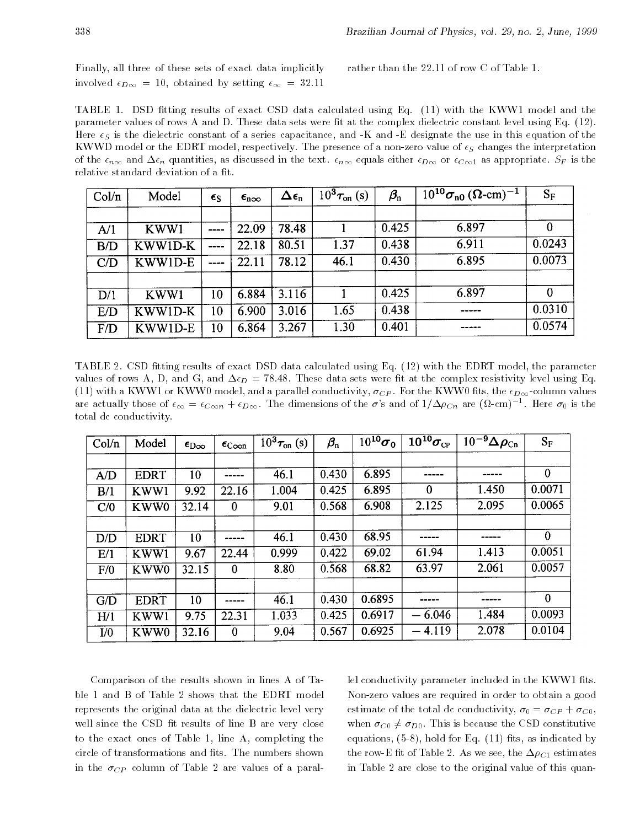Finally, all three of these sets of exact data implicitly involved  $\epsilon_{D\infty} = 10$ , obtained by setting  $\epsilon_{\infty} = 32.11$ 

rather than the 22.11 of row C of Table 1.

TABLE 1. DSD fitting results of exact CSD data calculated using Eq. (11) with the KWW1 model and the parameter values of rows A and D. These data sets were fit at the complex dielectric constant level using Eq. (12). Here  $\epsilon_S$  is the dielectric constant of a series capacitance, and -K and -E designate the use in this equation of the KWWD model or the EDRT model, respectively. The presence of a non-zero value of  $\epsilon_S$  changes the interpretation of the  $\epsilon_{n\infty}$  and  $\Delta\epsilon_n$  quantities, as discussed in the text.  $\epsilon_{n\infty}$  equals either  $\epsilon_{D\infty}$  or  $\epsilon_{C\infty}$  as appropriate.  $S_F$  is the relative standard deviation of a fit.

| Col/n | Model   | $\epsilon_{\rm S}$ | $\epsilon_{\text{noo}}$ | $\Delta \epsilon_{\rm n}$ | $10^3 \tau_{on}$ (s) | $\beta_{\rm n}$ | $10^{10} \sigma_{n0} (\Omega$ -cm) <sup>-1</sup> | $S_F$    |
|-------|---------|--------------------|-------------------------|---------------------------|----------------------|-----------------|--------------------------------------------------|----------|
|       |         |                    |                         |                           |                      |                 |                                                  |          |
| A/1   | KWW1    | ----               | 22.09                   | 78.48                     |                      | 0.425           | 6.897                                            | 0        |
| B/D   | KWW1D-K | ----               | 22.18                   | 80.51                     | 1.37                 | 0.438           | 6.911                                            | 0.0243   |
| C/D   | KWWID-E | ----               | 22.11                   | 78.12                     | 46.1                 | 0.430           | 6.895                                            | 0.0073   |
|       |         |                    |                         |                           |                      |                 |                                                  |          |
| D/1   | KWW1    | 10                 | 6.884                   | 3.116                     |                      | 0.425           | 6.897                                            | $\theta$ |
| E/D   | KWW1D-K | 10                 | 6.900                   | 3.016                     | 1.65                 | 0.438           |                                                  | 0.0310   |
| F/D   | KWW1D-E | 10                 | 6.864                   | 3.267                     | 1.30                 | 0.401           |                                                  | 0.0574   |

TABLE 2. CSD fitting results of exact DSD data calculated using Eq. (12) with the EDRT model, the parameter values of rows A, D, and G, and  $\Delta \epsilon_D = 78.48$ . These data sets were fit at the complex resistivity level using Eq. (11) with a KWW1 or KWW0 model, and a parallel conductivity,  $\sigma_{CP}$ . For the KWW0 fits, the  $\epsilon_{D\infty}$ -column values are actually those of  $\epsilon_{\infty} = \epsilon_{C\infty n} + \epsilon_{D\infty}$ . The dimensions of the  $\sigma$ 's and of  $1/\Delta\rho_{Cn}$  are  $(\Omega$ -cm)<sup>-1</sup>. Here  $\sigma_0$  is the total dc conductivity.

| Col/n | Model       | $\epsilon_{\rm D\infty}$ | $\epsilon_{\rm{Coon}}$ | $10^3 \tau_{\text{on}}$ (s) | $\beta_{\rm n}$ | $10^{10}\sigma_0$ | $10^{10}\sigma_{\rm CP}$ | $10^{-9} \Delta \rho_{\rm Cn}$ | $S_F$        |
|-------|-------------|--------------------------|------------------------|-----------------------------|-----------------|-------------------|--------------------------|--------------------------------|--------------|
|       |             |                          |                        |                             |                 |                   |                          |                                |              |
| A/D   | <b>EDRT</b> | 10                       |                        | 46.1                        | 0.430           | 6.895             | -----                    | -----                          | $\mathbf{0}$ |
| B/1   | KWW1        | 9.92                     | 22.16                  | 1.004                       | 0.425           | 6.895             | $\bf{0}$                 | 1.450                          | 0.0071       |
| C/0   | KWW0        | 32.14                    | $\bf{0}$               | 9.01                        | 0.568           | 6.908             | 2.125                    | 2.095                          | 0.0065       |
|       |             |                          |                        |                             |                 |                   |                          |                                |              |
| D/D   | <b>EDRT</b> | 10                       |                        | 46.1                        | 0.430           | 68.95             | -----                    |                                | $\mathbf{0}$ |
| E/1   | KWW1        | 9.67                     | 22.44                  | 0.999                       | 0.422           | 69.02             | 61.94                    | 1.413                          | 0.0051       |
| F/0   | KWW0        | 32.15                    | $\bf{0}$               | 8.80                        | 0.568           | 68.82             | 63.97                    | 2.061                          | 0.0057       |
|       |             |                          |                        |                             |                 |                   |                          |                                |              |
| G/D   | <b>EDRT</b> | 10                       |                        | 46.1                        | 0.430           | 0.6895            |                          |                                | $\bf{0}$     |
| H/1   | KWW1        | 9.75                     | 22.31                  | 1.033                       | 0.425           | 0.6917            | $-6.046$                 | 1.484                          | 0.0093       |
| I/0   | KWW0        | 32.16                    | $\bf{0}$               | 9.04                        | 0.567           | 0.6925            | $-4.119$                 | 2.078                          | 0.0104       |

Comparison of the results shown in lines A of Table 1 and B of Table 2 shows that the EDRT model represents the original data at the dielectric level very well since the CSD fit results of line B are very close to the exact ones of Table 1, line A, completing the circle of transformations and fits. The numbers shown in the  $\sigma_{CP}$  column of Table 2 are values of a parallel conductivity parameter included in the KWW1 fits. Non-zero values are required in order to obtain a good estimate of the total dc conductivity,  $\sigma_0 = \sigma_{CP} + \sigma_{C0}$ , when  $\sigma_{C0} \neq \sigma_{D0}$ . This is because the CSD constitutive equations,  $(5-8)$ , hold for Eq.  $(11)$  fits, as indicated by the row-E fit of Table 2. As we see, the  $\Delta \rho_{C1}$  estimates in Table 2 are close to the original value of this quan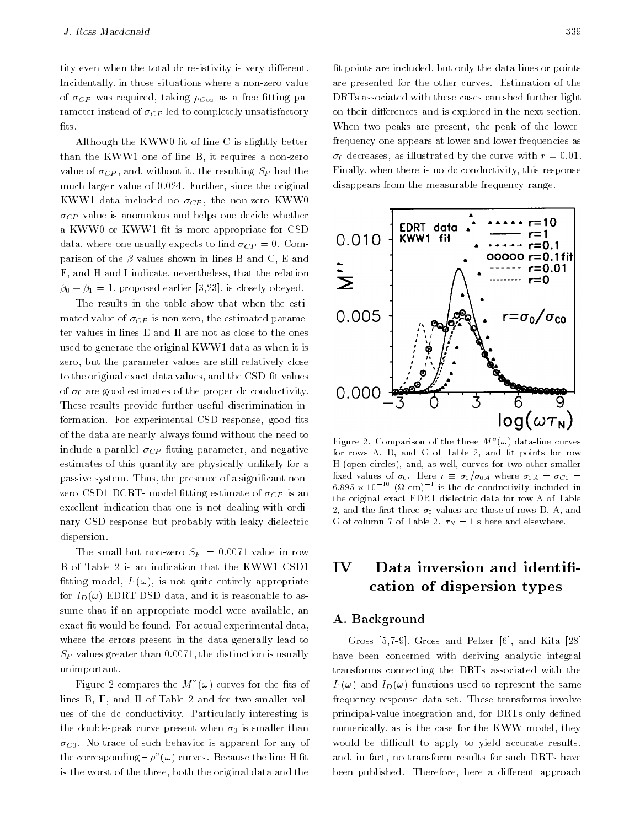tity even when the total dc resistivity is very different. Incidentally, in those situations where a non-zero value of  $\sigma_{CP}$  was required, taking  $\rho_{C\infty}$  as a free fitting parameter instead of  $\sigma_{CP}$  led to completely unsatisfactory fits.

Although the KWW0 fit of line C is slightly better than the KWW1 one of line B, it requires a non-zero value of  $\sigma_{CP}$ , and, without it, the resulting  $S_F$  had the much larger value of 0.024. Further, since the original KWW1 data included no  $\sigma_{CP}$ , the non-zero KWW0  $\sigma_{CP}$  value is anomalous and helps one decide whether a KWW0 or KWW1 fit is more appropriate for CSD<br>data where one usually expects to find  $\sigma_{CP} = 0$ , Com-<br>**0.010** data, where one usually expects to find  $\sigma_{CP} = 0$ . Comparison of the  $\beta$  values shown in lines B and C, E and F, and H and I indicate, nevertheless, that the relation  $\beta_0 + \beta_1 = 1$ , proposed earlier [3,23], is closely obeyed.

The results in the table show that when the estimated value of  $\sigma_{CP}$  is non-zero, the estimated parameter values in lines E and H are not as close to the ones used to generate the original KWW1 data as when it is zero, but the parameter values are still relatively close to the original exact-data values, and the CSD-fit values of  $\sigma_0$  are good estimates of the proper dc conductivity. These results provide further useful discrimination information. For experimental CSD response, good fits of the data are nearly always found without the need to include a parallel  $\sigma_{CP}$  fitting parameter, and negative estimates of this quantity are physically unlikely for a passive system. Thus, the presence of a signicant nonzero CSD1 DCRT- model fitting estimate of  $\sigma_{CP}$  is an excellent indication that one is not dealing with ordinary CSD response but probably with leaky dielectric dispersion.

The small but non-zero  $S_F = 0.0071$  value in row B of Table 2 is an indication that the KWW1 CSD1 fitting model,  $I_1(\omega)$ , is not quite entirely appropriate for  $I_D(\omega)$  EDRT DSD data, and it is reasonable to assume that if an appropriate model were available, an exact fit would be found. For actual experimental data, where the errors present in the data generally lead to  $S_F$  values greater than 0.0071, the distinction is usually unimportant.

Figure 2 compares the  $M^{\nu}(\omega)$  curves for the fits of lines B, E, and H of Table 2 and for two smaller values of the dc conductivity. Particularly interesting is the double-peak curve present when  $\sigma_0$  is smaller than  $\sigma_{C0}$ . No trace of such behavior is apparent for any of the corresponding –  $\rho^{(n)}(\omega)$  curves. Because the line-H fit is the worst of the three, both the original data and the

fit points are included, but only the data lines or points are presented for the other curves. Estimation of the DRTs associated with these cases can shed further light on their differences and is explored in the next section. When two peaks are present, the peak of the lowerfrequency one appears at lower and lower frequencies as  $\sigma_0$  decreases, as illustrated by the curve with  $r = 0.01$ . Finally, when there is no dc conductivity, this response disappears from the measurable frequency range.



Figure 2. Comparison of the three  $M^{\nu}(\omega)$  data-line curves for rows A, D, and G of Table 2, and fit points for row H (open circles), and, as well, curves for two other smaller fixed values of  $\sigma_0$ . Here  $r \equiv \sigma_0/\sigma_{0A}$  where  $\sigma_{0A} = \sigma_{C0}$  $_{\rm 6.895\, \times\,10^{-1.0}\,$  (M-cm)  $^{-1}$  is the dc conductivity included in the original exact EDRT dielectric data for row A of Table 2, and the first three  $\sigma_0$  values are those of rows D, A, and G of column 7 of Table 2.  $\tau_N = 1$  s here and elsewhere.

#### $\mathbf{IV}$ Data inversion and identifi-<u>IV v</u> cation of dispersion types

#### A. Background

Gross [5,7-9], Gross and Pelzer [6], and Kita [28] have been concerned with deriving analytic integral transforms connecting the DRTs associated with the  $I_1(\omega)$  and  $I_D(\omega)$  functions used to represent the same frequency-response data set. These transforms involve principal-value integration and, for DRTs only defined numerically, as is the case for the KWW model, they would be difficult to apply to yield accurate results, and, in fact, no transform results for such DRTs have been published. Therefore, here a different approach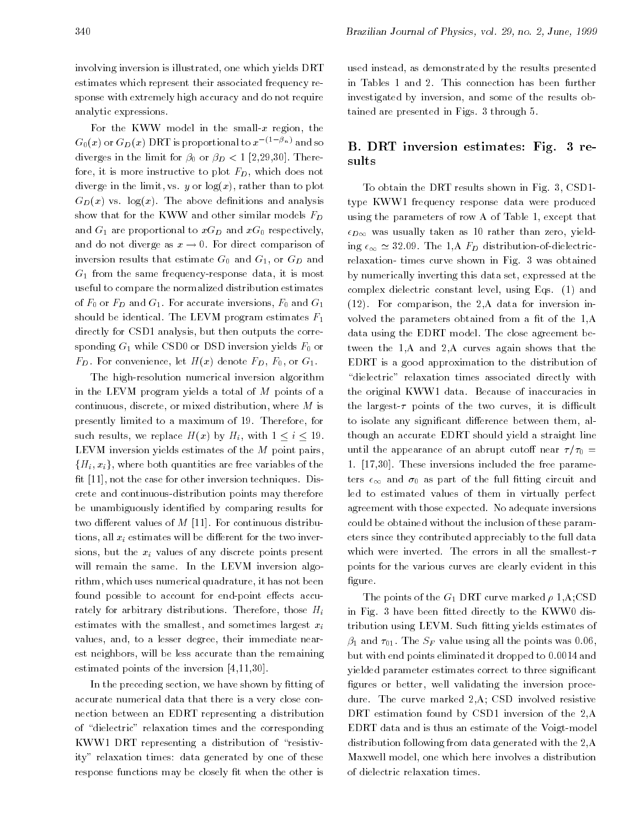involving inversion is illustrated, one which yields DRT estimates which represent their associated frequency response with extremely high accuracy and do not require analytic expressions.

For the KWW model in the small- $x$  region, the  $G_0(x)$  or  $G_D(x)$  DRT is proportional to  $x^{-(1-\beta_n)}$  and so diverges in the limit for  $\beta_0$  or  $\beta_D < 1$  [2,29,30]. Therefore, it is more instructive to plot  $F_D$ , which does not diverge in the limit, vs. y or  $log(x)$ , rather than to plot  $G_D(x)$  vs.  $log(x)$ . The above definitions and analysis show that for the KWW and other similar models  $F_D$ and  $G_1$  are proportional to  $xG_D$  and  $xG_0$  respectively, and do not diverge as  $x \to 0$ . For direct comparison of inversion results that estimate  $G_0$  and  $G_1$ , or  $G_D$  and  $G_1$  from the same frequency-response data, it is most useful to compare the normalized distribution estimates of  $F_0$  or  $F_D$  and  $G_1$ . For accurate inversions,  $F_0$  and  $G_1$ should be identical. The LEVM program estimates  $F_1$ directly for CSD1 analysis, but then outputs the corresponding  $G_1$  while CSD0 or DSD inversion yields  $F_0$  or  $F_D$ . For convenience, let  $H(x)$  denote  $F_D$ ,  $F_0$ , or  $G_1$ .

The high-resolution numerical inversion algorithm in the LEVM program yields a total of M points of a continuous, discrete, or mixed distribution, where M is presently limited to a maximum of 19. Therefore, for such results, we replace  $H(x)$  by  $H_i$ , with  $1 \le i \le 19$ . LEVM inversion yields estimates of the  $M$  point pairs,  ${H_i, x_i}$ , where both quantities are free variables of the fit [11], not the case for other inversion techniques. Discrete and continuous-distribution points may therefore be unambiguously identied by comparing results for two different values of  $M$  [11]. For continuous distributions, all  $x_i$  estimates will be different for the two inversions, but the  $x_i$  values of any discrete points present will remain the same. In the LEVM inversion algorithm, which uses numerical quadrature, it has not been found possible to account for end-point effects accurately for arbitrary distributions. Therefore, those  $H_i$ estimates with the smallest, and sometimes largest  $x_i$ values, and, to a lesser degree, their immediate nearest neighbors, will be less accurate than the remaining estimated points of the inversion [4,11,30].

In the preceding section, we have shown by fitting of accurate numerical data that there is a very close connection between an EDRT representing a distribution of "dielectric" relaxation times and the corresponding KWW1 DRT representing a distribution of "resistivity" relaxation times: data generated by one of these response functions may be closely fit when the other is

used instead, as demonstrated by the results presented in Tables 1 and 2. This connection has been further investigated by inversion, and some of the results obtained are presented in Figs. 3 through 5.

## B. DRT inversion estimates: Fig. 3 results

To obtain the DRT results shown in Fig. 3, CSD1 type KWW1 frequency response data were produced using the parameters of row A of Table 1, except that  $\epsilon_{D\infty}$  was usually taken as 10 rather than zero, yielding  $\epsilon_{\infty} \simeq 32.09$ . The 1,A  $F_D$  distribution-of-dielectricrelaxation- times curve shown in Fig. 3 was obtained by numerically inverting this data set, expressed at the complex dielectric constant level, using Eqs. (1) and (12). For comparison, the 2,A data for inversion involved the parameters obtained from a fit of the 1,A data using the EDRT model. The close agreement between the 1,A and 2,A curves again shows that the EDRT is a good approximation to the distribution of "dielectric" relaxation times associated directly with the original KWW1 data. Because of inaccuracies in the largest- $\tau$  points of the two curves, it is difficult to isolate any significant difference between them, although an accurate EDRT should yield a straight line until the appearance of an abrupt cutoff near  $\tau/\tau_0 =$ 1. [17,30]. These inversions included the free parameters  $\epsilon_{\infty}$  and  $\sigma_0$  as part of the full fitting circuit and led to estimated values of them in virtually perfect agreement with those expected. No adequate inversions could be obtained without the inclusion of these parameters since they contributed appreciably to the full data which were inverted. The errors in all the smallest- $\tau$ points for the various curves are clearly evident in this figure.

The points of the  $G_1$  DRT curve marked  $\rho$  1, A;CSD in Fig. 3 have been fitted directly to the KWW0 distribution using LEVM. Such fitting yields estimates of  $\beta_1$  and  $\tau_{01}$ . The  $S_F$  value using all the points was 0.06, but with end points eliminated it dropped to 0.0014 and yielded parameter estimates correct to three signicant figures or better, well validating the inversion procedure. The curve marked 2,A; CSD involved resistive DRT estimation found by CSD1 inversion of the 2,A EDRT data and is thus an estimate of the Voigt-model distribution following from data generated with the 2,A Maxwell model, one which here involves a distribution of dielectric relaxation times.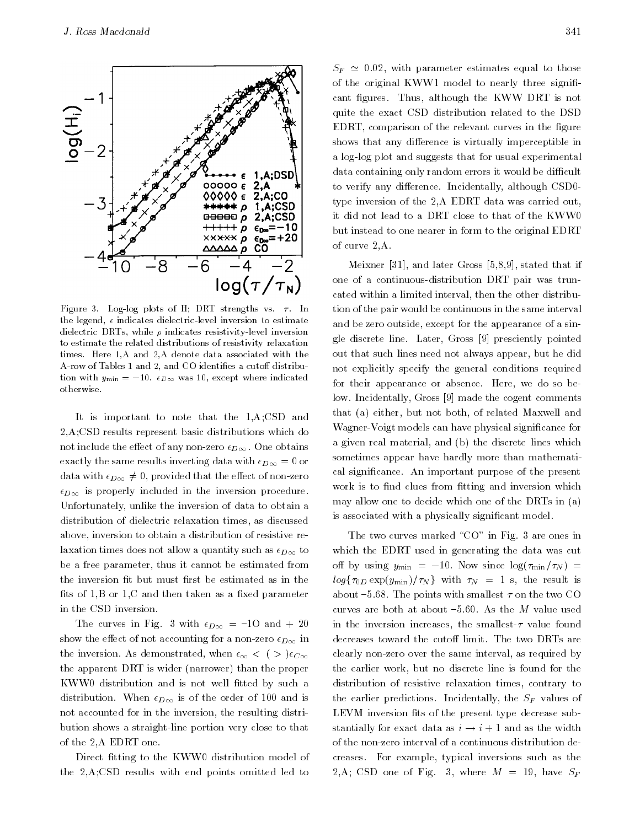

Figure 3. Log-log plots of H; DRT strengths vs.  $\tau$ . In the legend,  $\epsilon$  indicates dielectric-level inversion to estimate dielectric DRTs, while  $\rho$  indicates resistivity-level inversion to estimate the related distributions of resistivity relaxation times. Here 1,A and 2,A denote data associated with the A-row of Tables 1 and 2, and CO identifies a cutoff distribution with  $y_{\text{min}} = -10$ .  $\epsilon_{D\infty}$  was 10, except where indicated otherwise.

It is important to note that the 1,A;CSD and 2,A;CSD results represent basic distributions which do not include the effect of any non-zero  $\epsilon_{D\infty}$ . One obtains exactly the same results inverting data with  $\epsilon_{D\infty} = 0$  or data with  $\epsilon_{D\infty}\neq 0$ , provided that the effect of non-zero  $\epsilon_{D\infty}$  is properly included in the inversion procedure. Unfortunately, unlike the inversion of data to obtain a distribution of dielectric relaxation times, as discussed above, inversion to obtain a distribution of resistive relaxation times does not allow a quantity such as  $\epsilon_{D\infty}$  to be a free parameter, thus it cannot be estimated from the inversion fit but must first be estimated as in the fits of  $1,B$  or  $1,C$  and then taken as a fixed parameter in the CSD inversion.

The curves in Fig. 3 with  $\epsilon_{D\infty} = -10$  and  $+ 20$ show the effect of not accounting for a non-zero  $\epsilon_{D\infty}$  in the inversion. As demonstrated, when  $\epsilon_{\infty} < ($  >  $)\epsilon_{C\infty}$ the apparent DRT is wider (narrower) than the proper KWW0 distribution and is not well fitted by such a distribution. When  $\epsilon_{D\infty}$  is of the order of 100 and is not accounted for in the inversion, the resulting distribution shows a straight-line portion very close to that of the 2,A EDRT one.

Direct fitting to the KWW0 distribution model of the 2,A;CSD results with end points omitted led to  $S_F \simeq 0.02$ , with parameter estimates equal to those of the original KWW1 model to nearly three significant figures. Thus, although the KWW DRT is not quite the exact CSD distribution related to the DSD EDRT, comparison of the relevant curves in the figure shows that any difference is virtually imperceptible in a log-log plot and suggests that for usual experimental data containing only random errors it would be difficult to verify any difference. Incidentally, although CSD0type inversion of the 2,A EDRT data was carried out, it did not lead to a DRT close to that of the KWW0 but instead to one nearer in form to the original EDRT of curve 2,A.

Meixner [31], and later Gross [5,8,9], stated that if one of a continuous-distribution DRT pair was truncated within a limited interval, then the other distribution of the pair would be continuous in the same interval and be zero outside, except for the appearance of a single discrete line. Later, Gross [9] presciently pointed out that such lines need not always appear, but he did not explicitly specify the general conditions required for their appearance or absence. Here, we do so below. Incidentally, Gross [9] made the cogent comments that (a) either, but not both, of related Maxwell and Wagner-Voigt models can have physical signicance for a given real material, and (b) the discrete lines which sometimes appear have hardly more than mathematical signicance. An important purpose of the present work is to find clues from fitting and inversion which may allow one to decide which one of the DRTs in (a) is associated with a physically signicant model.

The two curves marked "CO" in Fig. 3 are ones in which the EDRT used in generating the data was cut off by using  $y_{\text{min}} = -10$ . Now since  $\log(\tau_{\text{min}}/\tau_N) =$  $log\{\tau_{0D} \exp(y_{\min})/\tau_N\}$  with  $\tau_N = 1$  s, the result is about  ${-}5.68$ . The points with smallest  $\tau$  on the two CO curves are both at about  $-5.60$ . As the  $M$  value used in the inversion increases, the smallest- $\tau$  value found decreases toward the cutoff limit. The two DRTs are clearly non-zero over the same interval, as required by the earlier work, but no discrete line is found for the distribution of resistive relaxation times, contrary to the earlier predictions. Incidentally, the  $S_F$  values of LEVM inversion fits of the present type decrease substantially for exact data as  $i \rightarrow i + 1$  and as the width of the non-zero interval of a continuous distribution decreases. For example, typical inversions such as the 2,A; CSD one of Fig. 3, where  $M = 19$ , have  $S_F$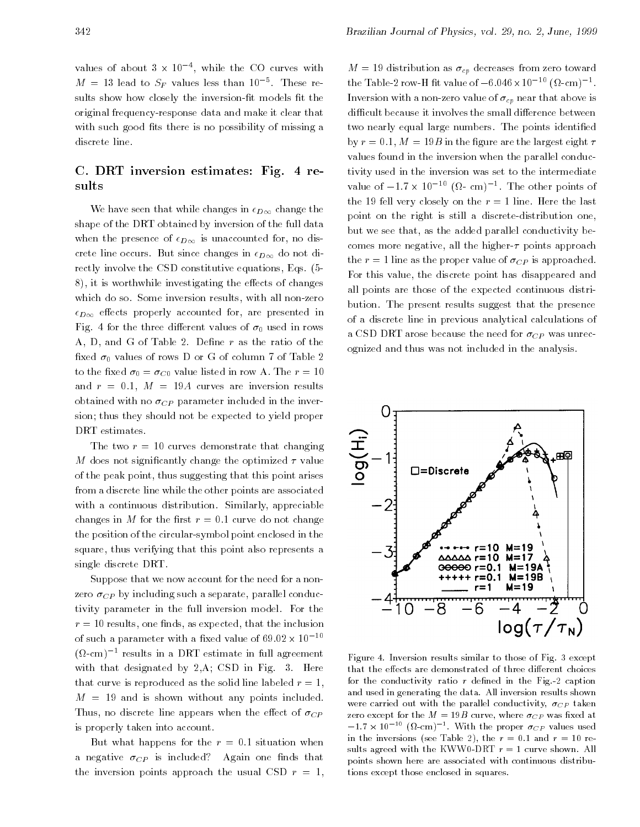values of about  $3 \times 10^{-4}$ , while the CO curves with  $M = 13$  lead to  $5F$  values less than 10  $\degree$ . These results show how closely the inversion-fit models fit the original frequency-response data and make it clear that with such good fits there is no possibility of missing a discrete line.

## C. DRT inversion estimates: Fig. 4 results

We have seen that while changes in  $\epsilon_{D\infty}$  change the shape of the DRT obtained by inversion of the full data when the presence of  $\epsilon_{D\infty}$  is unaccounted for, no discrete line occurs. But since changes in  $\epsilon_{D\infty}$  do not directly involve the CSD constitutive equations, Eqs. (5- 8), it is worthwhile investigating the effects of changes which do so. Some inversion results, with all non-zero  $\epsilon_{D\infty}$  effects properly accounted for, are presented in Fig. 4 for the three different values of  $\sigma_0$  used in rows A, D, and G of Table 2. Define r as the ratio of the fixed  $\sigma_0$  values of rows D or G of column 7 of Table 2 to the fixed  $\sigma_0 = \sigma_{C0}$  value listed in row A. The  $r = 10$ and  $r = 0.1$ ,  $M = 19A$  curves are inversion results obtained with no  $\sigma_{CP}$  parameter included in the inversion; thus they should not be expected to yield proper DRT estimates.

The two  $r = 10$  curves demonstrate that changing M does not significantly change the optimized  $\tau$  value of the peak point, thus suggesting that this point arises from a discrete line while the other points are associated with a continuous distribution. Similarly, appreciable changes in M for the first  $r = 0.1$  curve do not change the position of the circular-symbol point enclosed in the square, thus verifying that this point also represents a single discrete DRT.

Suppose that we now account for the need for a nonzero  $\sigma_{CP}$  by including such a separate, parallel conductivity parameter in the full inversion model. For the  $r = 10$  results, one finds, as expected, that the inclusion of such a parameter with a fixed value of 69.02  $\times$  10  $^{-10}$ ( -cm)1 results in a DRT estimate in full agreement with that designated by 2,A; CSD in Fig. 3. Here that curve is reproduced as the solid line labeled  $r = 1$ ,  $M = 19$  and is shown without any points included. Thus, no discrete line appears when the effect of  $\sigma_{CP}$ is properly taken into account.

But what happens for the  $r = 0.1$  situation when a negative  $\sigma_{CP}$  is included? Again one finds that the inversion points approach the usual CSD  $r = 1$ ,

 $M = 19$  distribution as  $\sigma_{cp}$  decreases from zero toward the Table-2 row-H fit value of  $-6.046\times10^{-10}$  (M-cm)  $^+$ . Inversion with a non-zero value of  $\sigma_{cp}$  near that above is difficult because it involves the small difference between two nearly equal large numbers. The points identified by  $r = 0.1$ ,  $M = 19B$  in the figure are the largest eight  $\tau$ values found in the inversion when the parallel conductivity used in the inversion was set to the intermediate value of  $-1.7 \times 10^{-10}$  ( $\Omega$ - cm)<sup>-</sup>. The other points of the 19 fell very closely on the  $r = 1$  line. Here the last point on the right is still a discrete-distribution one, but we see that, as the added parallel conductivity becomes more negative, all the higher- $\tau$  points approach the  $r = 1$  line as the proper value of  $\sigma_{CP}$  is approached. For this value, the discrete point has disappeared and all points are those of the expected continuous distribution. The present results suggest that the presence of a discrete line in previous analytical calculations of a CSD DRT arose because the need for  $\sigma_{CP}$  was unrecognized and thus was not included in the analysis.



Figure 4. Inversion results similar to those of Fig. 3 except that the effects are demonstrated of three different choices for the conductivity ratio  $r$  defined in the Fig.-2 caption and used in generating the data. All inversion results shown were carried out with the parallel conductivity,  $\sigma_{CP}$  taken zero except for the  $M = 19B$  curve, where  $\sigma_{CP}$  was fixed at  $-1.7 \times 10^{-10}$  (M-cm) . With the proper  $\sigma_{CP}$  values used in the inversions (see Table 2), the  $r = 0.1$  and  $r = 10$  results agreed with the KWW0-DRT  $r = 1$  curve shown. All points shown here are associated with continuous distributions except those enclosed in squares.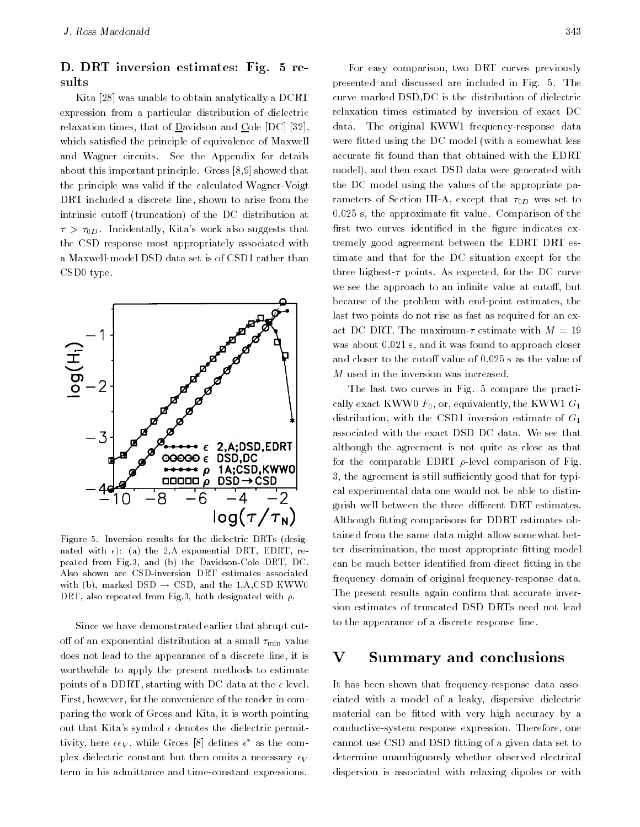# D. DRT inversion estimates: Fig. 5 re-

Kita [28] was unable to obtain analytically a DCRT expression from a particular distribution of dielectric relaxation times, that of Davidson and Cole [DC] [32], which satisfied the principle of equivalence of Maxwell and Wagner circuits. See the Appendix for details about this important principle. Gross [8,9] showed that the principle was valid if the calculated Wagner-Voigt DRT included a discrete line, shown to arise from the intrinsic cutoff (truncation) of the DC distribution at  $\tau > \tau_{0D}$ . Incidentally, Kita's work also suggests that the CSD response most appropriately associated with a Maxwell-model DSD data set is of CSD1 rather than CSD0 type.



Figure 5. Inversion results for the dielectric DRTs (designated with  $\epsilon$ ): (a) the 2, A exponential DRT, EDRT, repeated from Fig.3, and (b) the Davidson-Cole DRT, DC. Also shown are CSD-inversion DRT estimates associated with (b), marked DSD  $\rightarrow$  CSD, and the 1,A,CSD KWW0 DRT, also repeated from Fig.3, both designated with  $\rho$ .

Since we have demonstrated earlier that abrupt cutoff of an exponential distribution at a small  $\tau_{\min}$  value does not lead to the appearance of a discrete line, it is worthwhile to apply the present methods to estimate points of a DDRT, starting with DC data at the  $\epsilon$  level. First, however, for the convenience of the reader in comparing the work of Gross and Kita, it is worth pointing out that Kita's symbol  $\epsilon$  denotes the dielectric permit $t_{\rm UVH}$ , here  $\epsilon \epsilon_V$ , while Gross [8] defines  $\epsilon$  as the complex dielectric constant but then omits a necessary  $\epsilon_V$ term in his admittance and time-constant expressions.

For easy comparison, two DRT curves previously presented and discussed are included in Fig. 5. The curve marked DSD,DC is the distribution of dielectric relaxation times estimated by inversion of exact DC data. The original KWW1 frequency-response data were fitted using the DC model (with a somewhat less accurate fit found than that obtained with the EDRT model), and then exact DSD data were generated with the DC model using the values of the appropriate parameters of Section III-A, except that  $\tau_{0D}$  was set to  $0.025$  s, the approximate fit value. Comparison of the first two curves identified in the figure indicates extremely good agreement between the EDRT DRT estimate and that for the DC situation except for the three highest- $\tau$  points. As expected, for the DC curve we see the approach to an infinite value at cutoff, but because of the problem with end-point estimates, the last two points do not rise as fast as required for an exact DC DRT. The maximum- $\tau$  estimate with  $M = 19$ was about 0.021 s, and it was found to approach closer and closer to the cutoff value of 0.025 s as the value of M used in the inversion was increased.

The last two curves in Fig. 5 compare the practically exact KWW0  $F_0$ , or, equivalently, the KWW1  $G_1$ distribution, with the CSD1 inversion estimate of  $G_1$ associated with the exact DSD DC data. We see that although the agreement is not quite as close as that for the comparable EDRT  $\rho$ -level comparison of Fig. 3, the agreement is still sufficiently good that for typical experimental data one would not be able to distinguish well between the three different DRT estimates. Although fitting comparisons for DDRT estimates obtained from the same data might allow somewhat better discrimination, the most appropriate fitting model can be much better identified from direct fitting in the frequency domain of original frequency-response data. The present results again confirm that accurate inversion estimates of truncated DSD DRTs need not lead to the appearance of a discrete response line.

#### VSummary and conclusions

It has been shown that frequency-response data associated with a model of a leaky, dispersive dielectric material can be fitted with very high accuracy by a conductive-system response expression. Therefore, one cannot use CSD and DSD fitting of a given data set to determine unambiguously whether observed electrical dispersion is associated with relaxing dipoles or with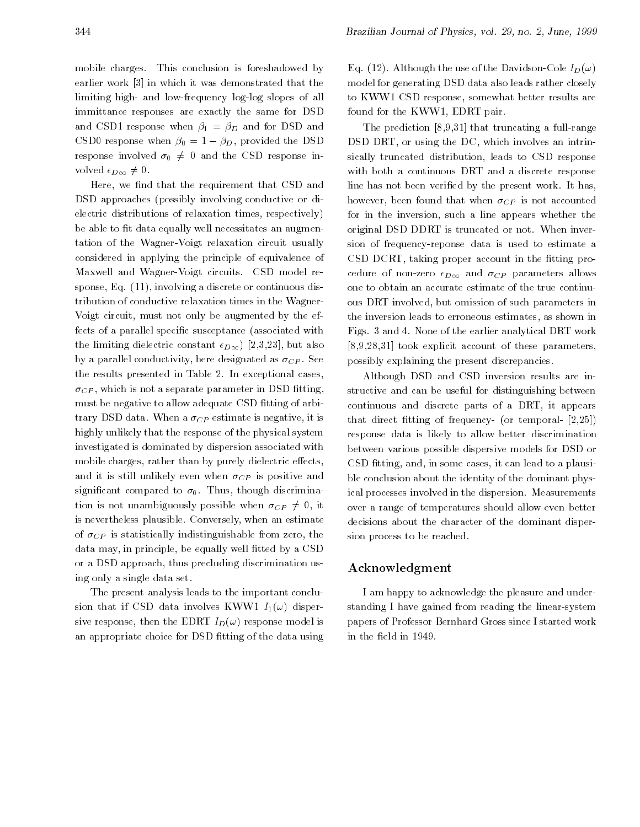mobile charges. This conclusion is foreshadowed by earlier work [3] in which it was demonstrated that the limiting high- and low-frequency log-log slopes of all immittance responses are exactly the same for DSD and CSD1 response when  $\beta_1 = \beta_D$  and for DSD and CSD0 response when  $\beta_0 = 1 - \beta_D$ , provided the DSD response involved  $\sigma_0 \neq 0$  and the CSD response involved  $\epsilon_{D\infty}\neq 0$ .

Here, we find that the requirement that CSD and DSD approaches (possibly involving conductive or dielectric distributions of relaxation times, respectively) be able to fit data equally well necessitates an augmentation of the Wagner-Voigt relaxation circuit usually considered in applying the principle of equivalence of Maxwell and Wagner-Voigt circuits. CSD model response, Eq. (11), involving a discrete or continuous distribution of conductive relaxation times in the Wagner-Voigt circuit, must not only be augmented by the effects of a parallel specific susceptance (associated with the limiting dielectric constant  $\epsilon_{D\infty}$ ) [2,3,23], but also by a parallel conductivity, here designated as  $\sigma_{CP}$ . See the results presented in Table 2. In exceptional cases,  $\sigma_{CP}$ , which is not a separate parameter in DSD fitting, must be negative to allow adequate CSD fitting of arbitrary DSD data. When a  $\sigma_{CP}$  estimate is negative, it is highly unlikely that the response of the physical system investigated is dominated by dispersion associated with mobile charges, rather than by purely dielectric effects, and it is still unlikely even when  $\sigma_{CP}$  is positive and significant compared to  $\sigma_0$ . Thus, though discrimination is not unambiguously possible when  $\sigma_{CP} \neq 0$ , it is nevertheless plausible. Conversely, when an estimate of  $\sigma_{CP}$  is statistically indistinguishable from zero, the data may, in principle, be equally well fitted by a CSD or a DSD approach, thus precluding discrimination using only a single data set.

The present analysis leads to the important conclusion that if CSD data involves KWW1  $I_1(\omega)$  dispersive response, then the EDRT  $I_D(\omega)$  response model is an appropriate choice for DSD fitting of the data using

Eq. (12). Although the use of the Davidson-Cole  $I_D(\omega)$ model for generating DSD data also leads rather closely to KWW1 CSD response, somewhat better results are found for the KWW1, EDRT pair.

The prediction [8,9,31] that truncating a full-range DSD DRT, or using the DC, which involves an intrinsically truncated distribution, leads to CSD response with both a continuous DRT and a discrete response line has not been verified by the present work. It has, however, been found that when  $\sigma_{CP}$  is not accounted for in the inversion, such a line appears whether the original DSD DDRT is truncated or not. When inversion of frequency-reponse data is used to estimate a CSD DCRT, taking proper account in the fitting procedure of non-zero  $\epsilon_{D\infty}$  and  $\sigma_{CP}$  parameters allows one to obtain an accurate estimate of the true continuous DRT involved, but omission of such parameters in the inversion leads to erroneous estimates, as shown in Figs. 3 and 4. None of the earlier analytical DRT work [8,9,28,31] took explicit account of these parameters, possibly explaining the present discrepancies.

Although DSD and CSD inversion results are instructive and can be useful for distinguishing between continuous and discrete parts of a DRT, it appears that direct fitting of frequency- (or temporal-  $[2,25]$ ) response data is likely to allow better discrimination between various possible dispersive models for DSD or CSD fitting, and, in some cases, it can lead to a plausible conclusion about the identity of the dominant physical processes involved in the dispersion. Measurements over a range of temperatures should allow even better decisions about the character of the dominant dispersion process to be reached.

#### Acknowledgment

I am happy to acknowledge the pleasure and understanding I have gained from reading the linear-system papers of Professor Bernhard Gross since I started work in the field in 1949.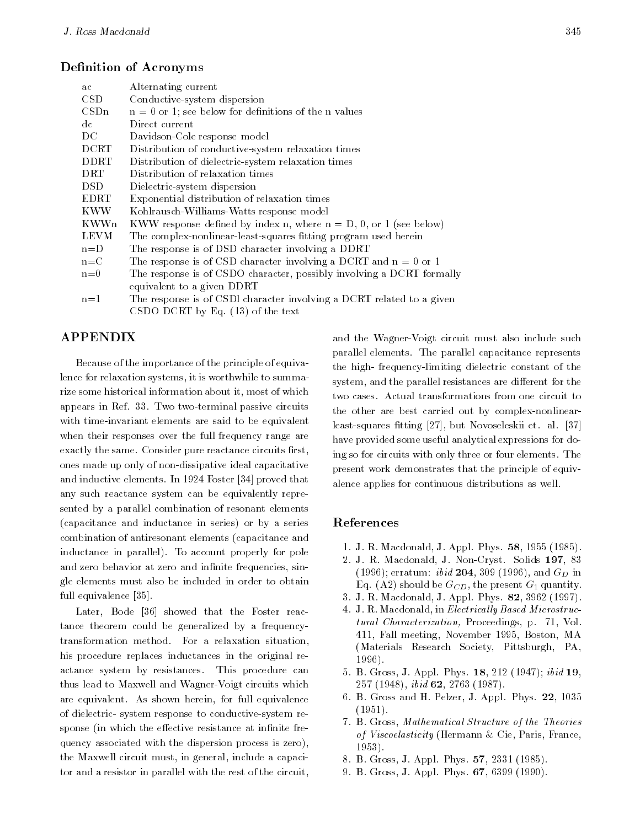#### Definition of Acronyms

| Alternating current                                                   |  |  |  |  |
|-----------------------------------------------------------------------|--|--|--|--|
| Conductive-system dispersion                                          |  |  |  |  |
| $n = 0$ or 1; see below for definitions of the n values               |  |  |  |  |
| Direct current                                                        |  |  |  |  |
| Davidson-Cole response model                                          |  |  |  |  |
| Distribution of conductive-system relaxation times                    |  |  |  |  |
| Distribution of dielectric-system relaxation times                    |  |  |  |  |
| Distribution of relaxation times                                      |  |  |  |  |
| Dielectric-system dispersion                                          |  |  |  |  |
| Exponential distribution of relaxation times                          |  |  |  |  |
| Kohlrausch-Williams-Watts response model                              |  |  |  |  |
| KWW response defined by index n, where $n = D$ , 0, or 1 (see below)  |  |  |  |  |
| The complex-nonlinear-least-squares fitting program used herein       |  |  |  |  |
| The response is of DSD character involving a DDRT                     |  |  |  |  |
| The response is of CSD character involving a DCRT and $n = 0$ or 1    |  |  |  |  |
| The response is of CSDO character, possibly involving a DCRT formally |  |  |  |  |
| equivalent to a given DDRT                                            |  |  |  |  |
| The response is of CSDI character involving a DCRT related to a given |  |  |  |  |
| CSDO DCRT by Eq. $(13)$ of the text                                   |  |  |  |  |
|                                                                       |  |  |  |  |

### APPENDIX

Because of the importance of the principle of equivalence for relaxation systems, it is worthwhile to summarize some historical information about it, most of which appears in Ref. 33. Two two-terminal passive circuits with time-invariant elements are said to be equivalent when their responses over the full frequency range are exactly the same. Consider pure reactance circuits first, ones made up only of non-dissipative ideal capacitative and inductive elements. In 1924 Foster [34] proved that any such reactance system can be equivalently represented by a parallel combination of resonant elements (capacitance and inductance in series) or by a series combination of antiresonant elements (capacitance and inductance in parallel). To account properly for pole and zero behavior at zero and infinite frequencies, single elements must also be included in order to obtain full equivalence [35].

Later, Bode [36] showed that the Foster reactance theorem could be generalized by a frequencytransformation method. For a relaxation situation, his procedure replaces inductances in the original reactance system by resistances. This procedure can thus lead to Maxwell and Wagner-Voigt circuits which are equivalent. As shown herein, for full equivalence of dielectric- system response to conductive-system response (in which the effective resistance at infinite frequency associated with the dispersion process is zero), the Maxwell circuit must, in general, include a capacitor and a resistor in parallel with the rest of the circuit, and the Wagner-Voigt circuit must also include such parallel elements. The parallel capacitance represents the high- frequency-limiting dielectric constant of the system, and the parallel resistances are different for the two cases. Actual transformations from one circuit to the other are best carried out by complex-nonlinearleast-squares fitting [27], but Novoseleskii et. al. [37] have provided some useful analytical expressions for doing so for circuits with only three or four elements. The present work demonstrates that the principle of equivalence applies for continuous distributions as well.

#### References

- 1. J. R. Macdonald, J. Appl. Phys. 58, 1955 (1985).
- 2. J. R. Macdonald, J. Non-Cryst. Solids 197, 83 (1996); erratum: *ibid* **204**, 309 (1996), and  $G_D$  in Eq. (A2) should be  $G_{CD}$ , the present  $G_1$  quantity.
- 3. J. R. Macdonald, J. Appl. Phys. 82, 3962 (1997).
- 4. J. R. Macdonald, in Electrically Based Microstructural Characterization, Proceedings, p. 71, Vol. 411, Fall meeting, November 1995, Boston, MA (Materials Research Society, Pittsburgh, PA, 1996).
- 5. B. Gross, J. Appl. Phys. 18, 212 (1947); ibid 19,  $257$  (1948), *ibid* 62, 2763 (1987).
- 6. B. Gross and H. Pelzer, J. Appl. Phys. 22, 1035 (1951).
- 7. B. Gross, Mathematical Structure of the Theories of Viscoelasticity (Hermann & Cie, Paris, France, 1953).
- 8. B. Gross, J. Appl. Phys. 57, 2331 (1985).
- 9. B. Gross, J. Appl. Phys. 67, 6399 (1990).